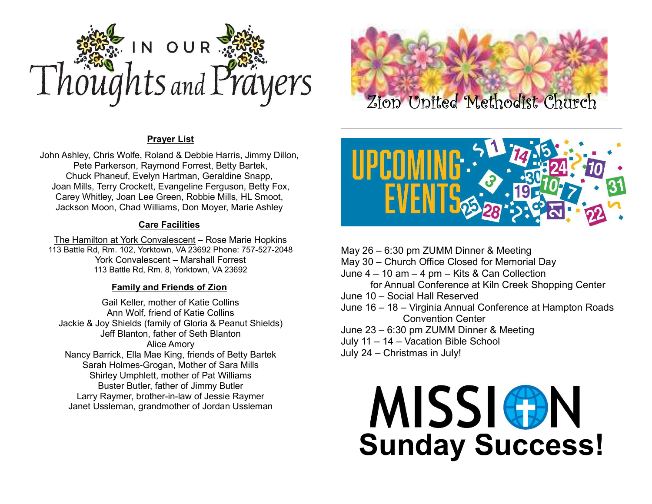

## Prayer List

John Ashley, Chris Wolfe, Roland & Debbie Harris, Jimmy Dillon, Pete Parkerson, Raymond Forrest, Betty Bartek, Chuck Phaneuf, Evelyn Hartman, Geraldine Snapp, Joan Mills, Terry Crockett, Evangeline Ferguson, Betty Fox, Carey Whitley, Joan Lee Green, Robbie Mills, HL Smoot, Jackson Moon, Chad Williams, Don Moyer, Marie Ashley

#### Care Facilities

The Hamilton at York Convalescent – Rose Marie Hopkins 113 Battle Rd, Rm. 102, Yorktown, VA 23692 Phone: 757-527-2048 York Convalescent – Marshall Forrest 113 Battle Rd, Rm. 8, Yorktown, VA 23692

## Family and Friends of Zion

Gail Keller, mother of Katie Collins Ann Wolf, friend of Katie Collins Jackie & Joy Shields (family of Gloria & Peanut Shields) Jeff Blanton, father of Seth Blanton Alice Amory Nancy Barrick, Ella Mae King, friends of Betty Bartek Sarah Holmes-Grogan, Mother of Sara Mills Shirley Umphlett, mother of Pat Williams Buster Butler, father of Jimmy Butler Larry Raymer, brother-in-law of Jessie Raymer Janet Ussleman, grandmother of Jordan Ussleman





May 26 – 6:30 pm ZUMM Dinner & Meeting May 30 – Church Office Closed for Memorial Day June 4 – 10 am – 4 pm – Kits & Can Collection for Annual Conference at Kiln Creek Shopping Center June 10 – Social Hall Reserved June 16 – 18 – Virginia Annual Conference at Hampton Roads Convention Center June 23 – 6:30 pm ZUMM Dinner & Meeting July 11 – 14 – Vacation Bible School July 24 – Christmas in July!

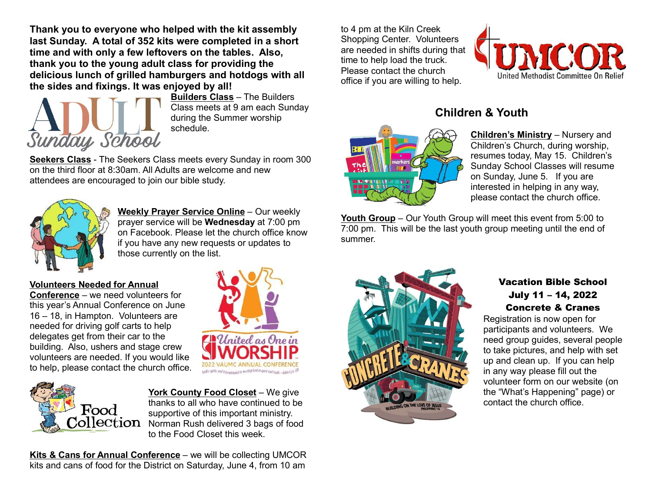Thank you to everyone who helped with the kit assembly last Sunday. A total of 352 kits were completed in a short time and with only a few leftovers on the tables. Also, thank you to the young adult class for providing the delicious lunch of grilled hamburgers and hotdogs with all the sides and fixings. It was enjoyed by all!



Builders Class – The Builders Class meets at 9 am each Sunday during the Summer worship schedule.

Seekers Class - The Seekers Class meets every Sunday in room 300 on the third floor at 8:30am. All Adults are welcome and new attendees are encouraged to join our bible study.



Weekly Prayer Service Online - Our weekly prayer service will be Wednesday at 7:00 pm on Facebook. Please let the church office know if you have any new requests or updates to those currently on the list.

#### Volunteers Needed for Annual

Conference – we need volunteers for this year's Annual Conference on June 16 – 18, in Hampton. Volunteers are needed for driving golf carts to help delegates get from their car to the building. Also, ushers and stage crew volunteers are needed. If you would like to help, please contact the church office.





York County Food Closet – We give thanks to all who have continued to be supportive of this important ministry.  $\text{Collection}$  Norman Rush delivered 3 bags of food to the Food Closet this week.

Kits & Cans for Annual Conference – we will be collecting UMCOR kits and cans of food for the District on Saturday, June 4, from 10 am

to 4 pm at the Kiln Creek Shopping Center. Volunteers are needed in shifts during that time to help load the truck. Please contact the church office if you are willing to help.



# Children & Youth



Children's Ministry – Nursery and Children's Church, during worship, resumes today, May 15. Children's Sunday School Classes will resume on Sunday, June 5. If you are interested in helping in any way, please contact the church office.

Youth Group – Our Youth Group will meet this event from 5:00 to 7:00 pm. This will be the last youth group meeting until the end of summer.



# Vacation Bible School July 11 – 14, 2022 Concrete & Cranes

Registration is now open for participants and volunteers. We need group guides, several people to take pictures, and help with set up and clean up. If you can help in any way please fill out the volunteer form on our website (on the "What's Happening" page) or contact the church office.